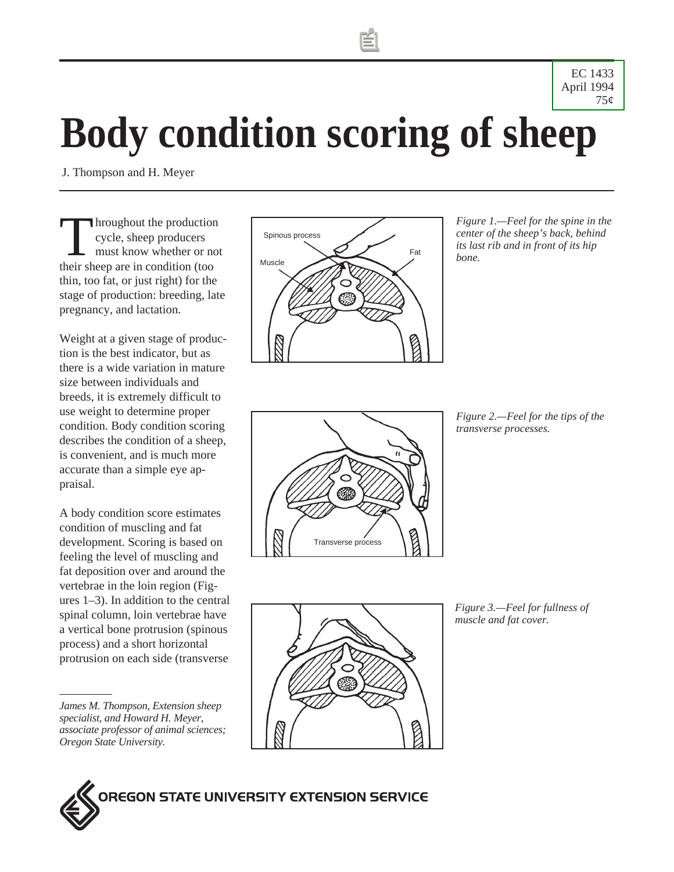EC 1433 [April 1994](http://wwwagcomm.ads.orst.edu/AgComWebFile/EdMat/orderform.html) 75¢

# **Body condition scoring of sheep**

J. Thompson and H. Meyer

Throughout the production cycle, sheep producers must know whether or not their sheep are in condition (too thin, too fat, or just right) for the stage of production: breeding, late pregnancy, and lactation.

Weight at a given stage of production is the best indicator, but as there is a wide variation in mature size between individuals and breeds, it is extremely difficult to use weight to determine proper condition. Body condition scoring describes the condition of a sheep, is convenient, and is much more accurate than a simple eye appraisal.

A body condition score estimates condition of muscling and fat development. Scoring is based on feeling the level of muscling and fat deposition over and around the vertebrae in the loin region (Figures 1–3). In addition to the central spinal column, loin vertebrae have a vertical bone protrusion (spinous process) and a short horizontal protrusion on each side (transverse

*James M. Thompson, Extension sheep specialist, and Howard H. Meyer, associate professor of animal sciences; Oregon State University.*



*Figure 1.—Feel for the spine in the center of the sheep's back, behind its last rib and in front of its hip bone.*



*Figure 2.—Feel for the tips of the transverse processes.*



*Figure 3.—Feel for fullness of muscle and fat cover.*

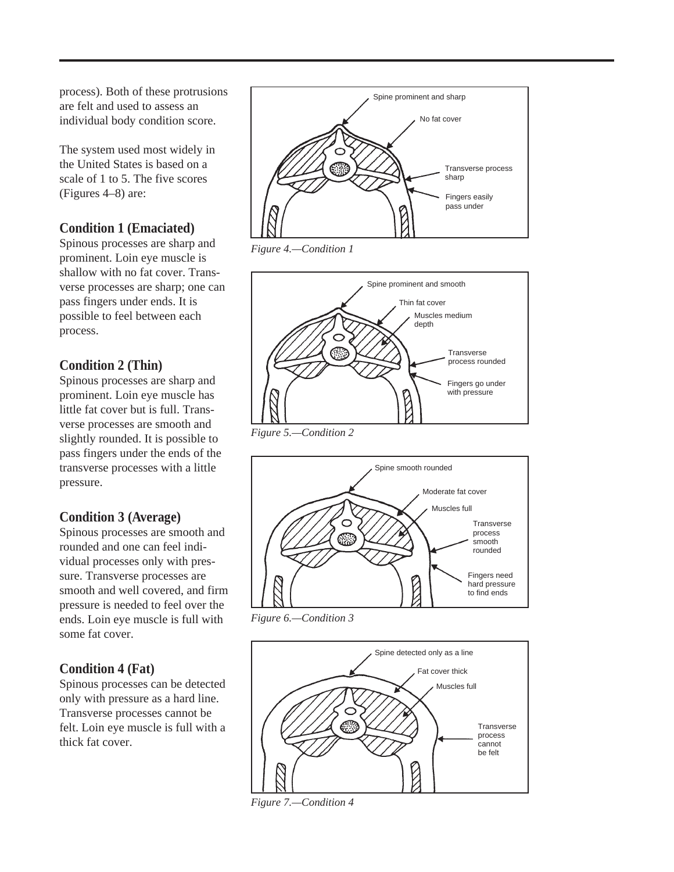process). Both of these protrusions are felt and used to assess an individual body condition score.

The system used most widely in the United States is based on a scale of 1 to 5. The five scores (Figures 4–8) are:

## **Condition 1 (Emaciated)**

Spinous processes are sharp and prominent. Loin eye muscle is shallow with no fat cover. Transverse processes are sharp; one can pass fingers under ends. It is possible to feel between each process.

## **Condition 2 (Thin)**

Spinous processes are sharp and prominent. Loin eye muscle has little fat cover but is full. Transverse processes are smooth and slightly rounded. It is possible to pass fingers under the ends of the transverse processes with a little pressure.

### **Condition 3 (Average)**

Spinous processes are smooth and rounded and one can feel individual processes only with pressure. Transverse processes are smooth and well covered, and firm pressure is needed to feel over the ends. Loin eye muscle is full with some fat cover.

## **Condition 4 (Fat)**

Spinous processes can be detected only with pressure as a hard line. Transverse processes cannot be felt. Loin eye muscle is full with a thick fat cover.



*Figure 4.—Condition 1*



*Figure 5.—Condition 2*



*Figure 6.—Condition 3*



*Figure 7.—Condition 4*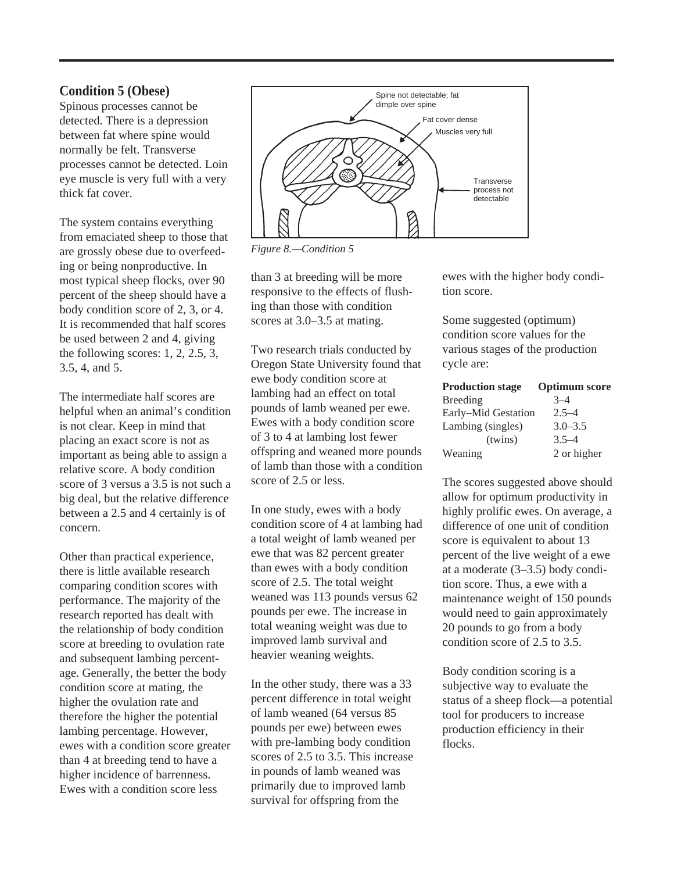#### **Condition 5 (Obese)**

Spinous processes cannot be detected. There is a depression between fat where spine would normally be felt. Transverse processes cannot be detected. Loin eye muscle is very full with a very thick fat cover.

The system contains everything from emaciated sheep to those that are grossly obese due to overfeeding or being nonproductive. In most typical sheep flocks, over 90 percent of the sheep should have a body condition score of 2, 3, or 4. It is recommended that half scores be used between 2 and 4, giving the following scores: 1, 2, 2.5, 3, 3.5, 4, and 5.

The intermediate half scores are helpful when an animal's condition is not clear. Keep in mind that placing an exact score is not as important as being able to assign a relative score. A body condition score of 3 versus a 3.5 is not such a big deal, but the relative difference between a 2.5 and 4 certainly is of concern.

Other than practical experience, there is little available research comparing condition scores with performance. The majority of the research reported has dealt with the relationship of body condition score at breeding to ovulation rate and subsequent lambing percentage. Generally, the better the body condition score at mating, the higher the ovulation rate and therefore the higher the potential lambing percentage. However, ewes with a condition score greater than 4 at breeding tend to have a higher incidence of barrenness. Ewes with a condition score less



*Figure 8.—Condition 5*

than 3 at breeding will be more responsive to the effects of flushing than those with condition scores at 3.0–3.5 at mating.

Two research trials conducted by Oregon State University found that ewe body condition score at lambing had an effect on total pounds of lamb weaned per ewe. Ewes with a body condition score of 3 to 4 at lambing lost fewer offspring and weaned more pounds of lamb than those with a condition score of 2.5 or less.

In one study, ewes with a body condition score of 4 at lambing had a total weight of lamb weaned per ewe that was 82 percent greater than ewes with a body condition score of 2.5. The total weight weaned was 113 pounds versus 62 pounds per ewe. The increase in total weaning weight was due to improved lamb survival and heavier weaning weights.

In the other study, there was a 33 percent difference in total weight of lamb weaned (64 versus 85 pounds per ewe) between ewes with pre-lambing body condition scores of 2.5 to 3.5. This increase in pounds of lamb weaned was primarily due to improved lamb survival for offspring from the

ewes with the higher body condition score.

Some suggested (optimum) condition score values for the various stages of the production cycle are:

| <b>Production stage</b> | <b>Optimum</b> score |
|-------------------------|----------------------|
| Breeding                | $3 - 4$              |
| Early-Mid Gestation     | $2.5 - 4$            |
| Lambing (singles)       | $3.0 - 3.5$          |
| (twins)                 | $3.5 - 4$            |
| Weaning                 | 2 or higher          |

The scores suggested above should allow for optimum productivity in highly prolific ewes. On average, a difference of one unit of condition score is equivalent to about 13 percent of the live weight of a ewe at a moderate (3–3.5) body condition score. Thus, a ewe with a maintenance weight of 150 pounds would need to gain approximately 20 pounds to go from a body condition score of 2.5 to 3.5.

Body condition scoring is a subjective way to evaluate the status of a sheep flock—a potential tool for producers to increase production efficiency in their flocks.